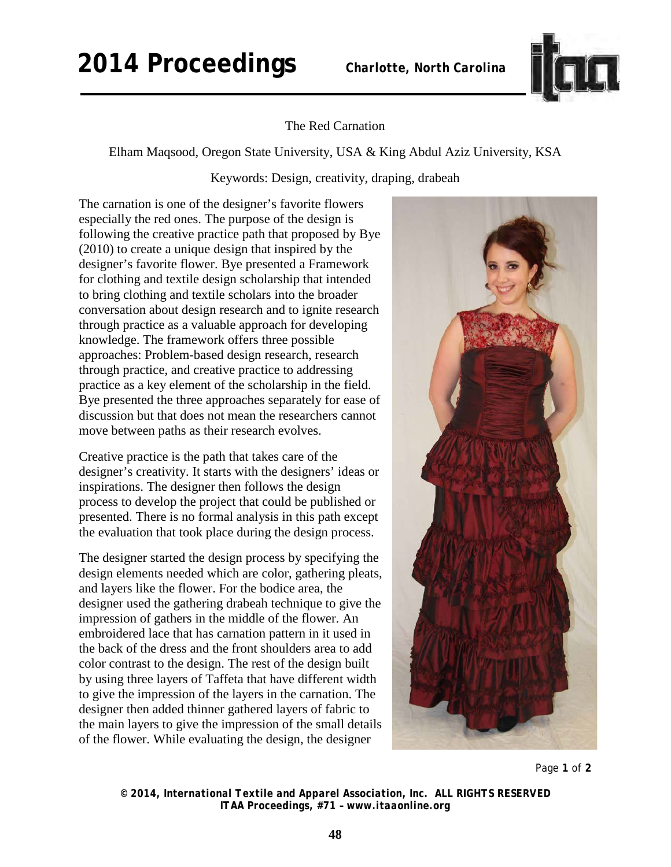## **2014 Proceedings** *Charlotte, North Carolina*



The Red Carnation

Elham Maqsood, Oregon State University, USA & King Abdul Aziz University, KSA

Keywords: Design, creativity, draping, drabeah

The carnation is one of the designer's favorite flowers especially the red ones. The purpose of the design is following the creative practice path that proposed by Bye (2010) to create a unique design that inspired by the designer's favorite flower. Bye presented a Framework for clothing and textile design scholarship that intended to bring clothing and textile scholars into the broader conversation about design research and to ignite research through practice as a valuable approach for developing knowledge. The framework offers three possible approaches: Problem-based design research, research through practice, and creative practice to addressing practice as a key element of the scholarship in the field. Bye presented the three approaches separately for ease of discussion but that does not mean the researchers cannot move between paths as their research evolves.

Creative practice is the path that takes care of the designer's creativity. It starts with the designers' ideas or inspirations. The designer then follows the design process to develop the project that could be published or presented. There is no formal analysis in this path except the evaluation that took place during the design process.

The designer started the design process by specifying the design elements needed which are color, gathering pleats, and layers like the flower. For the bodice area, the designer used the gathering drabeah technique to give the impression of gathers in the middle of the flower. An embroidered lace that has carnation pattern in it used in the back of the dress and the front shoulders area to add color contrast to the design. The rest of the design built by using three layers of Taffeta that have different width to give the impression of the layers in the carnation. The designer then added thinner gathered layers of fabric to the main layers to give the impression of the small details of the flower. While evaluating the design, the designer



Page **1** of **2** 

*© 2014, International Textile and Apparel Association, Inc. ALL RIGHTS RESERVED ITAA Proceedings, #71 – www.itaaonline.org*